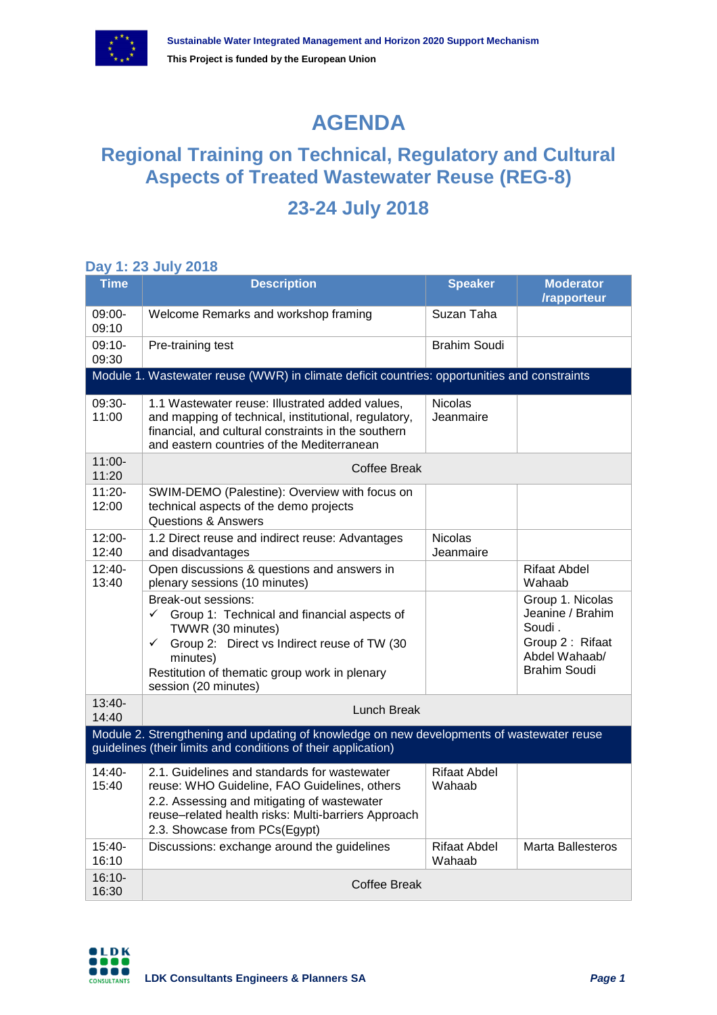

# **AGENDA**

## **Regional Training on Technical, Regulatory and Cultural Aspects of Treated Wastewater Reuse (REG-8)**

### **23-24 July 2018**

#### **Day 1: 23 July 2018**

| <b>Time</b>                                                                                                                                                | <b>Description</b>                                                                                                                                                                                                                                          | <b>Speaker</b>                | <b>Moderator</b><br>/rapporteur                                                                    |  |  |
|------------------------------------------------------------------------------------------------------------------------------------------------------------|-------------------------------------------------------------------------------------------------------------------------------------------------------------------------------------------------------------------------------------------------------------|-------------------------------|----------------------------------------------------------------------------------------------------|--|--|
| 09:00-<br>09:10                                                                                                                                            | Welcome Remarks and workshop framing                                                                                                                                                                                                                        | Suzan Taha                    |                                                                                                    |  |  |
| 09:10-<br>09:30                                                                                                                                            | Pre-training test                                                                                                                                                                                                                                           | Brahim Soudi                  |                                                                                                    |  |  |
|                                                                                                                                                            | Module 1. Wastewater reuse (WWR) in climate deficit countries: opportunities and constraints                                                                                                                                                                |                               |                                                                                                    |  |  |
| 09:30-<br>11:00                                                                                                                                            | 1.1 Wastewater reuse: Illustrated added values,<br>and mapping of technical, institutional, regulatory,<br>financial, and cultural constraints in the southern<br>and eastern countries of the Mediterranean                                                | <b>Nicolas</b><br>Jeanmaire   |                                                                                                    |  |  |
| 11:00-<br>11:20                                                                                                                                            | Coffee Break                                                                                                                                                                                                                                                |                               |                                                                                                    |  |  |
| 11:20-<br>12:00                                                                                                                                            | SWIM-DEMO (Palestine): Overview with focus on<br>technical aspects of the demo projects<br><b>Questions &amp; Answers</b>                                                                                                                                   |                               |                                                                                                    |  |  |
| 12:00-<br>12:40                                                                                                                                            | 1.2 Direct reuse and indirect reuse: Advantages<br>and disadvantages                                                                                                                                                                                        | <b>Nicolas</b><br>Jeanmaire   |                                                                                                    |  |  |
| $12:40-$<br>13:40                                                                                                                                          | Open discussions & questions and answers in<br>plenary sessions (10 minutes)                                                                                                                                                                                |                               | Rifaat Abdel<br>Wahaab                                                                             |  |  |
|                                                                                                                                                            | Break-out sessions:<br>$\checkmark$<br>Group 1: Technical and financial aspects of<br>TWWR (30 minutes)<br>Group 2: Direct vs Indirect reuse of TW (30<br>$\checkmark$<br>minutes)<br>Restitution of thematic group work in plenary<br>session (20 minutes) |                               | Group 1. Nicolas<br>Jeanine / Brahim<br>Soudi.<br>Group 2: Rifaat<br>Abdel Wahaab/<br>Brahim Soudi |  |  |
| $13:40-$<br>14:40                                                                                                                                          | Lunch Break                                                                                                                                                                                                                                                 |                               |                                                                                                    |  |  |
| Module 2. Strengthening and updating of knowledge on new developments of wastewater reuse<br>guidelines (their limits and conditions of their application) |                                                                                                                                                                                                                                                             |                               |                                                                                                    |  |  |
| 14:40-<br>15:40                                                                                                                                            | 2.1. Guidelines and standards for wastewater<br>reuse: WHO Guideline, FAO Guidelines, others<br>2.2. Assessing and mitigating of wastewater<br>reuse-related health risks: Multi-barriers Approach<br>2.3. Showcase from PCs(Egypt)                         | <b>Rifaat Abdel</b><br>Wahaab |                                                                                                    |  |  |
| 15:40-<br>16:10                                                                                                                                            | Discussions: exchange around the guidelines                                                                                                                                                                                                                 | <b>Rifaat Abdel</b><br>Wahaab | Marta Ballesteros                                                                                  |  |  |
| $16:10-$<br>16:30                                                                                                                                          | <b>Coffee Break</b>                                                                                                                                                                                                                                         |                               |                                                                                                    |  |  |

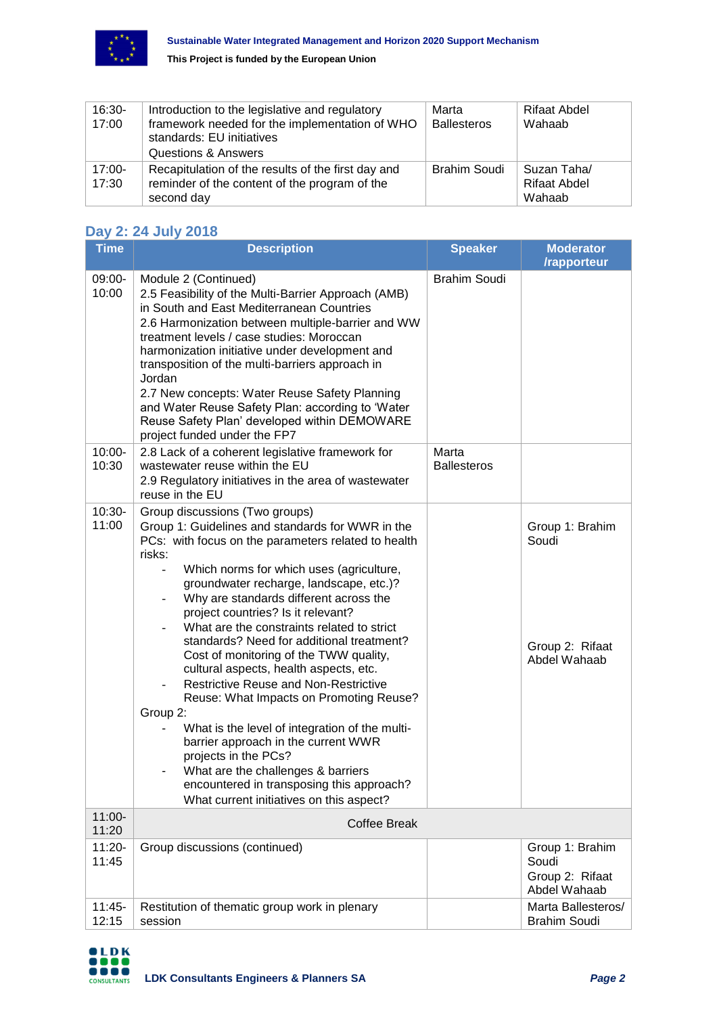

**This Project is funded by the European Union**

| 16:30-<br>17:00    | Introduction to the legislative and regulatory<br>framework needed for the implementation of WHO<br>standards: EU initiatives<br><b>Questions &amp; Answers</b> | Marta<br><b>Ballesteros</b> | Rifaat Abdel<br>Wahaab                       |
|--------------------|-----------------------------------------------------------------------------------------------------------------------------------------------------------------|-----------------------------|----------------------------------------------|
| $17:00 -$<br>17:30 | Recapitulation of the results of the first day and<br>reminder of the content of the program of the<br>second day                                               | <b>Brahim Soudi</b>         | Suzan Taha/<br><b>Rifaat Abdel</b><br>Wahaab |

### **Day 2: 24 July 2018**

| <b>Time</b>       | <b>Description</b>                                                                                                                                                                                                                                                                                                                                                                                                                                                                                                                                                                                                                                                                                                                                                                                                                                               | <b>Speaker</b>              | <b>Moderator</b><br>/rapporteur                             |
|-------------------|------------------------------------------------------------------------------------------------------------------------------------------------------------------------------------------------------------------------------------------------------------------------------------------------------------------------------------------------------------------------------------------------------------------------------------------------------------------------------------------------------------------------------------------------------------------------------------------------------------------------------------------------------------------------------------------------------------------------------------------------------------------------------------------------------------------------------------------------------------------|-----------------------------|-------------------------------------------------------------|
| 09:00-<br>10:00   | Module 2 (Continued)<br>2.5 Feasibility of the Multi-Barrier Approach (AMB)<br>in South and East Mediterranean Countries<br>2.6 Harmonization between multiple-barrier and WW<br>treatment levels / case studies: Moroccan<br>harmonization initiative under development and<br>transposition of the multi-barriers approach in<br>Jordan<br>2.7 New concepts: Water Reuse Safety Planning<br>and Water Reuse Safety Plan: according to 'Water<br>Reuse Safety Plan' developed within DEMOWARE<br>project funded under the FP7                                                                                                                                                                                                                                                                                                                                   | <b>Brahim Soudi</b>         |                                                             |
| 10:00-<br>10:30   | 2.8 Lack of a coherent legislative framework for<br>wastewater reuse within the EU<br>2.9 Regulatory initiatives in the area of wastewater<br>reuse in the EU                                                                                                                                                                                                                                                                                                                                                                                                                                                                                                                                                                                                                                                                                                    | Marta<br><b>Ballesteros</b> |                                                             |
| 10:30-<br>11:00   | Group discussions (Two groups)<br>Group 1: Guidelines and standards for WWR in the<br>PCs: with focus on the parameters related to health<br>risks:<br>Which norms for which uses (agriculture,<br>groundwater recharge, landscape, etc.)?<br>Why are standards different across the<br>project countries? Is it relevant?<br>What are the constraints related to strict<br>standards? Need for additional treatment?<br>Cost of monitoring of the TWW quality,<br>cultural aspects, health aspects, etc.<br><b>Restrictive Reuse and Non-Restrictive</b><br>Reuse: What Impacts on Promoting Reuse?<br>Group 2:<br>What is the level of integration of the multi-<br>barrier approach in the current WWR<br>projects in the PCs?<br>What are the challenges & barriers<br>encountered in transposing this approach?<br>What current initiatives on this aspect? |                             | Group 1: Brahim<br>Soudi<br>Group 2: Rifaat<br>Abdel Wahaab |
| 11:00-<br>11:20   | <b>Coffee Break</b>                                                                                                                                                                                                                                                                                                                                                                                                                                                                                                                                                                                                                                                                                                                                                                                                                                              |                             |                                                             |
| 11:20-<br>11:45   | Group discussions (continued)                                                                                                                                                                                                                                                                                                                                                                                                                                                                                                                                                                                                                                                                                                                                                                                                                                    |                             | Group 1: Brahim<br>Soudi<br>Group 2: Rifaat<br>Abdel Wahaab |
| $11:45-$<br>12:15 | Restitution of thematic group work in plenary<br>session                                                                                                                                                                                                                                                                                                                                                                                                                                                                                                                                                                                                                                                                                                                                                                                                         |                             | Marta Ballesteros/<br><b>Brahim Soudi</b>                   |